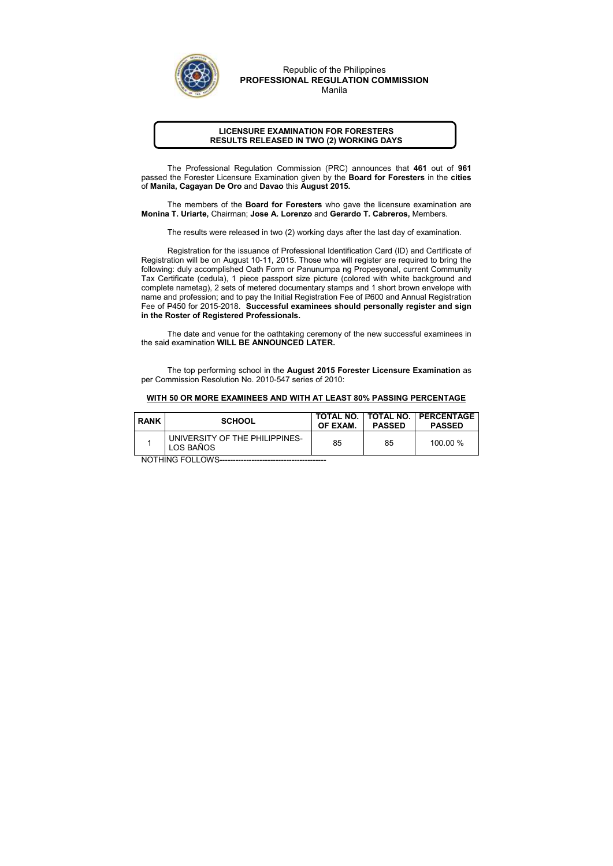## LICENSURE EXAMINATION FOR FORESTERS RESULTS RELEASED IN TWO (2) WORKING DAYS

The Professional Regulation Commission (PRC) announces that 461 out of 961 passed the Forester Licensure Examination given by the Board for Foresters in the cities of Manila, Cagayan De Oro and Davao this August 2015.

The members of the **Board for Foresters** who gave the licensure examination are Monina T. Uriarte, Chairman; Jose A. Lorenzo and Gerardo T. Cabreros, Members.

The results were released in two (2) working days after the last day of examination.

 Registration for the issuance of Professional Identification Card (ID) and Certificate of Registration will be on August 10-11, 2015. Those who will register are required to bring the following: duly accomplished Oath Form or Panunumpa ng Propesyonal, current Community Tax Certificate (cedula), 1 piece passport size picture (colored with white background and complete nametag), 2 sets of metered documentary stamps and 1 short brown envelope with name and profession; and to pay the Initial Registration Fee of P600 and Annual Registration Fee of P450 for 2015-2018. Successful examinees should personally register and sign in the Roster of Registered Professionals.

The date and venue for the oathtaking ceremony of the new successful examinees in the said examination WILL BE ANNOUNCED LATER.

The top performing school in the August 2015 Forester Licensure Examination as per Commission Resolution No. 2010-547 series of 2010:

## WITH 50 OR MORE EXAMINEES AND WITH AT LEAST 80% PASSING PERCENTAGE

| <b>RANK</b> | <b>SCHOOL</b>                               | OF EXAM. | <b>PASSED</b> | TOTAL NO.   TOTAL NO.   PERCENTAGE<br><b>PASSED</b> |
|-------------|---------------------------------------------|----------|---------------|-----------------------------------------------------|
|             | UNIVERSITY OF THE PHILIPPINES-<br>LOS BAÑOS | 85       | 85            | $100.00\%$                                          |

NOTHING FOLLOWS----------------------------------------



Republic of the Philippines PROFESSIONAL REGULATION COMMISSION Manila